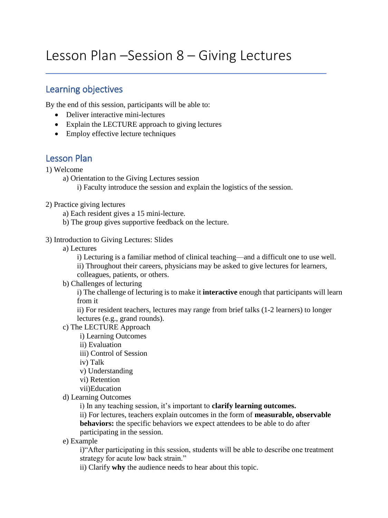# Lesson Plan –Session 8 – Giving Lectures

## Learning objectives

By the end of this session, participants will be able to:

- Deliver interactive mini-lectures
- Explain the LECTURE approach to giving lectures
- Employ effective lecture techniques

## Lesson Plan

1) Welcome

a) Orientation to the Giving Lectures session

i) Faculty introduce the session and explain the logistics of the session.

- 2) Practice giving lectures
	- a) Each resident gives a 15 mini-lecture.
	- b) The group gives supportive feedback on the lecture.

#### 3) Introduction to Giving Lectures: Slides

a) Lectures

i) Lecturing is a familiar method of clinical teaching—and a difficult one to use well. ii) Throughout their careers, physicians may be asked to give lectures for learners, colleagues, patients, or others.

b) Challenges of lecturing

i) The challenge of lecturing is to make it **interactive** enough that participants will learn from it

ii) For resident teachers, lectures may range from brief talks (1-2 learners) to longer lectures (e.g., grand rounds).

- c) The LECTURE Approach
	- i) Learning Outcomes
	- ii) Evaluation
	- iii) Control of Session

iv) Talk

- v) Understanding
- vi) Retention
- vii)Education
- d) Learning Outcomes

i) In any teaching session, it's important to **clarify learning outcomes.** 

ii) For lectures, teachers explain outcomes in the form of **measurable, observable behaviors:** the specific behaviors we expect attendees to be able to do after participating in the session.

e) Example

i)"After participating in this session, students will be able to describe one treatment strategy for acute low back strain."

ii) Clarify **why** the audience needs to hear about this topic.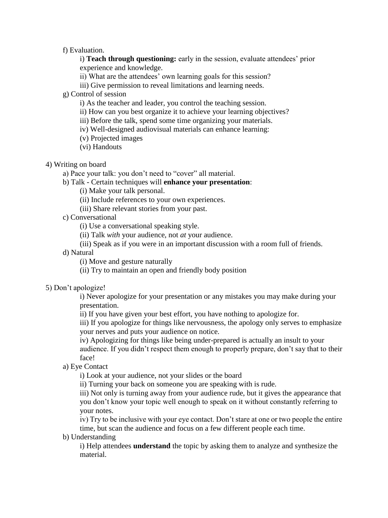f) Evaluation.

i) **Teach through questioning:** early in the session, evaluate attendees' prior experience and knowledge.

- ii) What are the attendees' own learning goals for this session?
- iii) Give permission to reveal limitations and learning needs.
- g) Control of session
	- i) As the teacher and leader, you control the teaching session.
	- ii) How can you best organize it to achieve your learning objectives?
	- iii) Before the talk, spend some time organizing your materials.
	- iv) Well-designed audiovisual materials can enhance learning:
	- (v) Projected images
	- (vi) Handouts
- 4) Writing on board
	- a) Pace your talk: you don't need to "cover" all material.
	- b) Talk Certain techniques will **enhance your presentation**:
		- (i) Make your talk personal.
		- (ii) Include references to your own experiences.
		- (iii) Share relevant stories from your past.
	- c) Conversational
		- (i) Use a conversational speaking style.
		- (ii) Talk *with* your audience, not *at* your audience.
		- (iii) Speak as if you were in an important discussion with a room full of friends.
	- d) Natural
		- (i) Move and gesture naturally
		- (ii) Try to maintain an open and friendly body position
- 5) Don't apologize!

i) Never apologize for your presentation or any mistakes you may make during your presentation.

ii) If you have given your best effort, you have nothing to apologize for.

iii) If you apologize for things like nervousness, the apology only serves to emphasize your nerves and puts your audience on notice.

iv) Apologizing for things like being under-prepared is actually an insult to your audience. If you didn't respect them enough to properly prepare, don't say that to their face!

a) Eye Contact

i) Look at your audience, not your slides or the board

ii) Turning your back on someone you are speaking with is rude.

iii) Not only is turning away from your audience rude, but it gives the appearance that you don't know your topic well enough to speak on it without constantly referring to your notes.

iv) Try to be inclusive with your eye contact. Don't stare at one or two people the entire time, but scan the audience and focus on a few different people each time.

b) Understanding

i) Help attendees **understand** the topic by asking them to analyze and synthesize the material.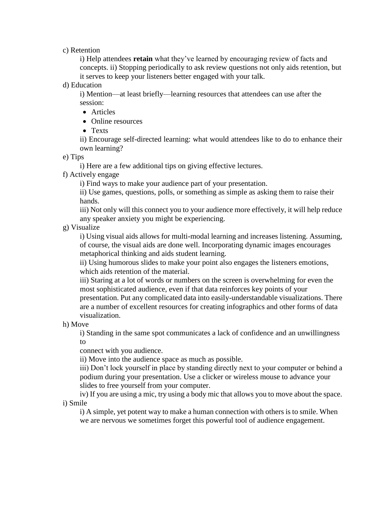c) Retention

i) Help attendees **retain** what they've learned by encouraging review of facts and concepts. ii) Stopping periodically to ask review questions not only aids retention, but it serves to keep your listeners better engaged with your talk.

d) Education

i) Mention—at least briefly—learning resources that attendees can use after the session:

- Articles
- Online resources
- Texts

ii) Encourage self-directed learning: what would attendees like to do to enhance their own learning?

e) Tips

i) Here are a few additional tips on giving effective lectures.

f) Actively engage

i) Find ways to make your audience part of your presentation.

ii) Use games, questions, polls, or something as simple as asking them to raise their hands.

iii) Not only will this connect you to your audience more effectively, it will help reduce any speaker anxiety you might be experiencing.

g) Visualize

i) Using visual aids allows for multi-modal learning and increases listening. Assuming, of course, the visual aids are done well. Incorporating dynamic images encourages metaphorical thinking and aids student learning.

ii) Using humorous slides to make your point also engages the listeners emotions, which aids retention of the material.

iii) Staring at a lot of words or numbers on the screen is overwhelming for even the most sophisticated audience, even if that data reinforces key points of your presentation. Put any complicated data into easily-understandable visualizations. There are a number of excellent resources for creating infographics and other forms of data

visualization.

h) Move

i) Standing in the same spot communicates a lack of confidence and an unwillingness to

connect with you audience.

ii) Move into the audience space as much as possible.

iii) Don't lock yourself in place by standing directly next to your computer or behind a podium during your presentation. Use a clicker or wireless mouse to advance your slides to free yourself from your computer.

iv) If you are using a mic, try using a body mic that allows you to move about the space. i) Smile

i) A simple, yet potent way to make a human connection with others is to smile. When we are nervous we sometimes forget this powerful tool of audience engagement.